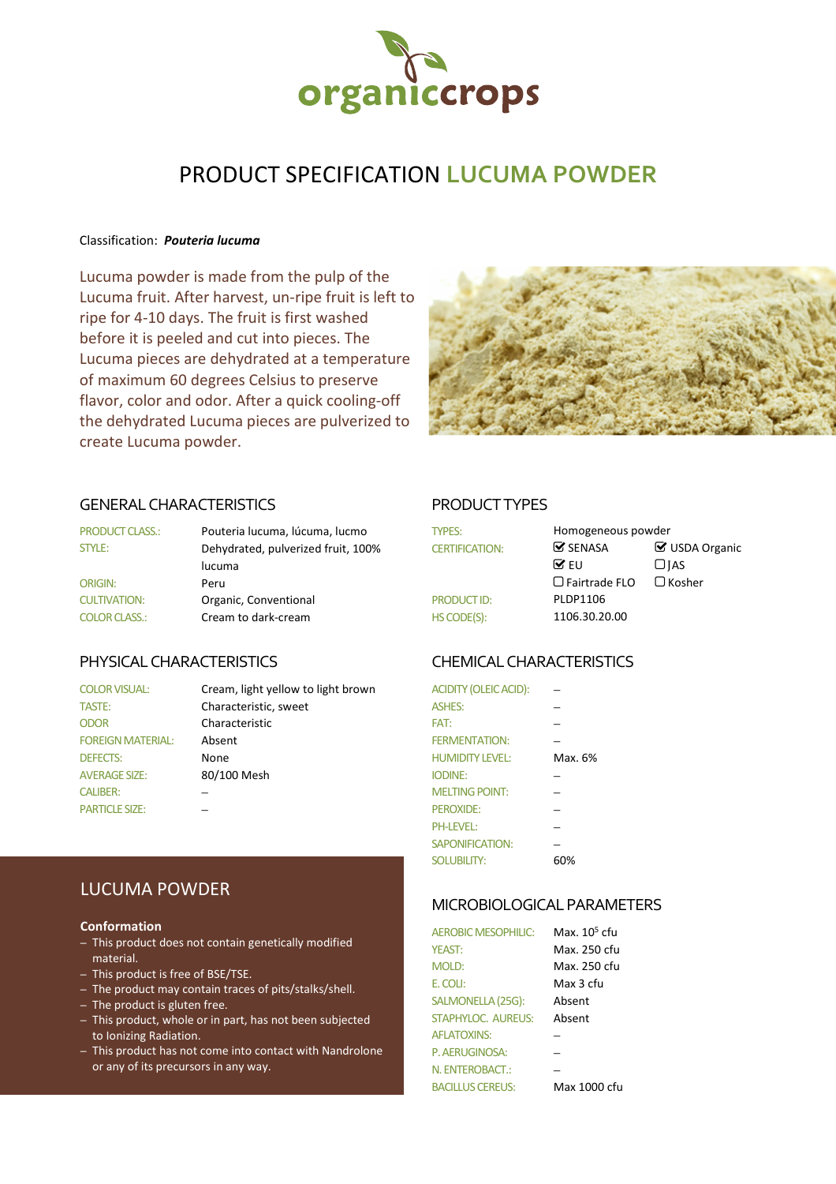

# PRODUCT SPECIFICATION **LUCUMA POWDER**

### Classification: *Pouteria lucuma*

Lucuma powder is made from the pulp of the Lucuma fruit. After harvest, un-ripe fruit is left to ripe for 4-10 days. The fruit is first washed before it is peeled and cut into pieces. The Lucuma pieces are dehydrated at a temperature of maximum 60 degrees Celsius to preserve flavor, color and odor. After a quick cooling-off the dehydrated Lucuma pieces are pulverized to create Lucuma powder.



### GENERAL CHARACTERISTICS PRODUCT TYPES

| <b>PRODUCT CLASS.:</b> | Pouteria lucuma, lúcuma, lucmo     | <b>TYPES:</b>         | Homogeneous powder            |                    |
|------------------------|------------------------------------|-----------------------|-------------------------------|--------------------|
| STYLE:                 | Dehydrated, pulverized fruit, 100% | <b>CERTIFICATION:</b> | $\mathbf{\mathcal{S}}$ SENASA | $\boxtimes$ USDA ( |
|                        | lucuma                             |                       | $\triangledown$ FU            | $\Box$ IAS         |
| <b>ORIGIN:</b>         | Peru                               |                       | $\Box$ Fairtrade FLO          | $\Box$ Kosher      |
| <b>CULTIVATION:</b>    | Organic, Conventional              | <b>PRODUCT ID:</b>    | PLDP1106                      |                    |
| <b>COLOR CLASS.:</b>   | Cream to dark-cream                | HS CODE(S):           | 1106.30.20.00                 |                    |

| <b>COLOR VISUAL:</b>     | Cream, light yellow to light brown | <b>ACIDITY (OLEIC ACID):</b> |         |
|--------------------------|------------------------------------|------------------------------|---------|
| <b>TASTE:</b>            | Characteristic, sweet              | <b>ASHES:</b>                |         |
| <b>ODOR</b>              | Characteristic                     | FAT:                         |         |
| <b>FOREIGN MATERIAL:</b> | Absent                             | <b>FERMENTATION:</b>         |         |
| <b>DEFECTS:</b>          | None                               | <b>HUMIDITY LEVEL:</b>       | Max. 6% |
| <b>AVERAGE SIZE:</b>     | 80/100 Mesh                        | <b>IODINE:</b>               |         |
| <b>CALIBER:</b>          |                                    | <b>MELTING POINT:</b>        |         |
| <b>PARTICLE SIZE:</b>    |                                    | <b>PEROXIDE:</b>             |         |

| <b>TYPES:</b>         | Homogeneous powder            |                       |
|-----------------------|-------------------------------|-----------------------|
| <b>CERTIFICATION:</b> | $\mathbf{\mathcal{C}}$ SENASA | <b>☑</b> USDA Organic |
|                       | ME∪                           | $\Box$ JAS            |
|                       | $\Box$ Fairtrade FLO          | $\Box$ Kosher         |
| <b>PRODUCT ID:</b>    | PLDP1106                      |                       |
| HS CODE(S):           | 1106.30.20.00                 |                       |

# PHYSICAL CHARACTERISTICS CHEMICAL CHARACTERISTICS

| <b>ACIDITY (OLEIC ACID):</b> |         |
|------------------------------|---------|
| <b>ASHES:</b>                |         |
| FAT:                         |         |
| <b>FERMENTATION:</b>         |         |
| <b>HUMIDITY LEVEL:</b>       | Max. 6% |
| <b>IODINE:</b>               |         |
| <b>MELTING POINT:</b>        |         |
| PFROXIDE:                    |         |
| <b>PH-LEVEL:</b>             |         |
| SAPONIFICATION:              |         |
| <b>SOLUBILITY:</b>           | 60%     |

## MICROBIOLOGICAL PARAMETERS

| <b>AEROBIC MESOPHILIC:</b> | Max. 10 <sup>5</sup> cfu |
|----------------------------|--------------------------|
| <b>YEAST:</b>              | Max. 250 cfu             |
| <b>MOLD:</b>               | Max. 250 cfu             |
| F. COLI:                   | Max 3 cfu                |
| SALMONELLA (25G):          | Absent                   |
| <b>STAPHYLOC. AUREUS:</b>  | Ahsent                   |
| <b>AFI ATOXINS:</b>        |                          |
| P. AERUGINOSA:             |                          |
| N. ENTEROBACT.:            |                          |
| <b>BACILLUS CERELIS:</b>   | Max 1000 cfu             |

# LUCUMA POWDER

### **Conformation**

- This product does not contain genetically modified material.
- This product is free of BSE/TSE.
- The product may contain traces of pits/stalks/shell.
- The product is gluten free.
- This product, whole or in part, has not been subjected to Ionizing Radiation.
- This product has not come into contact with Nandrolone or any of its precursors in any way.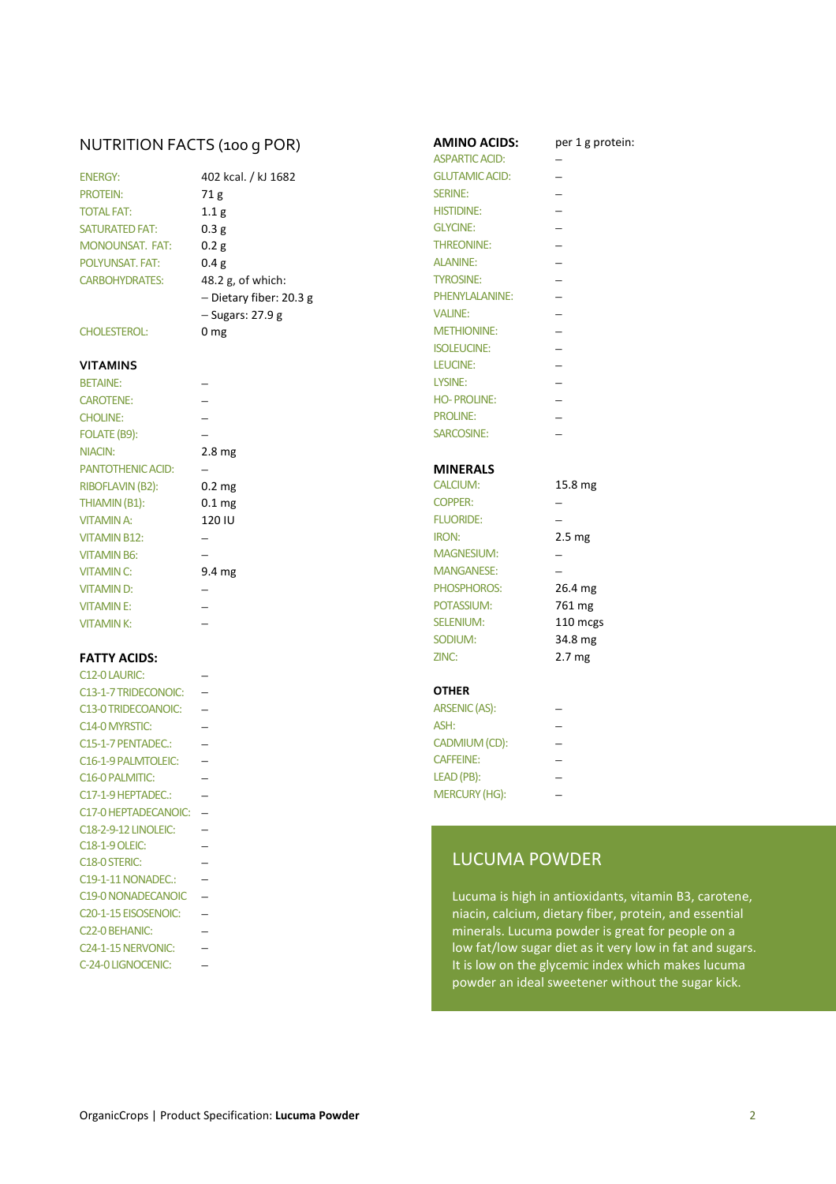## NUTRITION FACTS (100 G POR) **AMINO ACIDS:** per 1 g protein:

| <b>FNFRGY:</b>         |
|------------------------|
| <b>PROTFIN:</b>        |
| <b>TOTAI FAT:</b>      |
| <b>SATURATED FAT:</b>  |
| <b>MONOUNSAT, FAT:</b> |
| POI YUNSAT, FAT:       |
| <b>CARBOHYDRATES:</b>  |
|                        |

### **VITAMINS**

CAROTENE: − FOLATE (B9): − NIACIN: 2.8 mg PANTOTHENIC ACID: − **− MINERALS** RIBOFLAVIN (B2): 0.2 mg CALCIUM: 15.8 THIAMIN (B1): 0.1 mg COPPER:  $\sim$  0.1 mg VITAMIN B12: − IRON: 2.5 mg/km2 mg/km2 mg/km2 mg/km2 mg/km2 mg/km2 mg/km2 mg/km2 mg/km2 mg/km2 mg/km2 mg/km2 mg/km2 mg/km2 mg/km2 mg/km2 mg/km2 mg/km2 mg/km2 mg/km2 mg/km2 mg/km2 mg/km2 mg/km2 mg/km2 mg/km2 mg/km2 mg/km2 VITAMIN B6: − → MAGNESIUM: − MAGNESIUM: → MAGNESIUM: → MAGNESIUM: → MAGNESIUM: → MAGNESIUM: → MAGNESIUM: → MAGNESIUM: → MAGNESIUM: → MAGNESIUM: → MAGNESIUM: → MAGNESIUM: → MAGNESIUM: → MAGNESIUM: → MAGNESIUM: → MAGNESIUM: VITAMIN C: 9.4 mg MANGANESE SA MANGANESE SA MANGANESE SA MANGANESE SA MANGANESE SA MANGANESE SA MANGANESE SA MA VITAMIN D: − → PH VITAMIN E: − POTASSIUM: 761 mg

| C12-0 LAURIC:                     |                       |                          |
|-----------------------------------|-----------------------|--------------------------|
| C13-1-7 TRIDECONOIC:              | <b>OTHER</b>          |                          |
| C13-0 TRIDECOANOIC:               | ARSENIC (AS):         |                          |
| C <sub>14</sub> -0 MYRSTIC:       | ASH:                  | $\overline{\phantom{0}}$ |
| C15-1-7 PENTADEC.:                | CADMIUM (CD):         | -                        |
| C16-1-9 PALMTOLEIC:               | <b>CAFFEINE:</b>      | $\overline{\phantom{0}}$ |
| C <sub>16</sub> -0 PALMITIC:      | LEAD (PB):            | ÷                        |
| C17-1-9 HEPTADEC.:                | <b>MERCURY (HG):</b>  |                          |
| C17-0 HEPTADECANOIC:              |                       |                          |
| C18-2-9-12 LINOLEIC:              |                       |                          |
| <b>C18-1-9 OLEIC:</b>             |                       |                          |
| C <sub>18</sub> -0 STERIC:        | <b>LUCUMA POV</b>     |                          |
| C19-1-11 NONADEC.:                |                       |                          |
| C19-0 NONADECANOIC                | Lucuma is high in a   |                          |
| C <sub>20</sub> -1-15 EISOSENOIC: | niacin, calcium, die  |                          |
| C <sub>22</sub> -0 BEHANIC:       | minerals. Lucuma p    |                          |
| C <sub>24</sub> -1-15 NERVONIC:   | low fat/low sugar d   |                          |
| C-24-0 LIGNOCENIC:                | It is low on the glyc |                          |

| 102 kcal. / kJ 1682     |  |  |
|-------------------------|--|--|
| 71 g                    |  |  |
| l.1 g                   |  |  |
| 0.3g                    |  |  |
| 0.2 g                   |  |  |
| 0.4g                    |  |  |
| 18.2 g, of which:       |  |  |
| - Dietary fiber: 20.3 g |  |  |
| - Sugars: 27.9 g        |  |  |
| ) mø                    |  |  |

|                            | NUTRITION FACTS (100 g POR) | <b>AMINO ACIDS:</b>   | per |
|----------------------------|-----------------------------|-----------------------|-----|
|                            |                             | <b>ASPARTIC ACID:</b> |     |
| <b>ENERGY:</b>             | 402 kcal. / kJ 1682         | <b>GLUTAMIC ACID:</b> |     |
| <b>PROTEIN:</b>            | 71g                         | <b>SERINE:</b>        |     |
| <b>TOTAL FAT:</b>          | 1.1 <sub>g</sub>            | <b>HISTIDINE:</b>     |     |
| <b>SATURATED FAT:</b>      | 0.3 <sub>g</sub>            | <b>GLYCINE:</b>       |     |
| MONOUNSAT. FAT:            | 0.2 <sub>g</sub>            | <b>THREONINE:</b>     |     |
| POLYUNSAT. FAT:            | 0.4 <sub>g</sub>            | <b>ALANINE:</b>       |     |
| <b>CARBOHYDRATES:</b>      | 48.2 g, of which:           | <b>TYROSINE:</b>      |     |
|                            | - Dietary fiber: 20.3 g     | PHENYLALANINE:        |     |
|                            | - Sugars: 27.9 g            | <b>VALINE:</b>        |     |
| <b>CHOLESTEROL:</b>        | 0 <sub>mg</sub>             | <b>METHIONINE:</b>    |     |
|                            |                             | <b>ISOLEUCINE:</b>    |     |
| <b>VITAMINS</b>            |                             | LEUCINE:              |     |
| <b>BETAINE:</b>            |                             | LYSINE:               |     |
| <b>CAROTENE:</b>           |                             | <b>HO-PROLINE:</b>    |     |
| <b>CHOLINE:</b>            |                             | <b>PROLINE:</b>       |     |
| FOLATE (B9):               |                             | SARCOSINE:            |     |
| <b>NIACIN</b> <sup>.</sup> | 2.8 <sub>mg</sub>           |                       |     |

| <b>FATTY ACIDS:</b> |                   | ZINC:             | 2.7 <sub>mg</sub> |
|---------------------|-------------------|-------------------|-------------------|
|                     |                   | SODIUM:           | 34.8 mg           |
| <b>VITAMINK:</b>    |                   | <b>SELENIUM:</b>  | 110 mcgs          |
| <b>VITAMINE:</b>    |                   | POTASSIUM:        | 761 mg            |
| <b>VITAMIND:</b>    |                   | PHOSPHOROS:       | $26.4 \text{ mg}$ |
| <b>VITAMIN C:</b>   | $9.4 \text{ mg}$  | <b>MANGANESE:</b> |                   |
| <b>VITAMIN B6:</b>  |                   | <b>MAGNESIUM:</b> |                   |
| <b>VITAMIN B12:</b> |                   | <b>IRON:</b>      | 2.5 <sub>mg</sub> |
| <b>VITAMIN A:</b>   | 120 IU            | <b>FLUORIDE:</b>  |                   |
| THIAMIN (B1):       | 0.1 <sub>mg</sub> | <b>COPPER:</b>    |                   |
| RIBOFLAVIN (B2):    | $0.2 \text{ mg}$  | <b>CALCIUM:</b>   | 15.8 mg           |

| C13-0 TRIDECOANOIC:          | ARSENIC (AS):        |  |
|------------------------------|----------------------|--|
| C14-0 MYRSTIC:               | ASH:                 |  |
| C15-1-7 PENTADEC.:           | CADMIUM (CD):        |  |
| C16-1-9 PALMTOLEIC:          | <b>CAFFEINE:</b>     |  |
| C <sub>16</sub> -0 PALMITIC: | LEAD (PB):           |  |
| C17-1-9 HEPTADEC.:           | <b>MERCURY (HG):</b> |  |

# LUCUMA POWDER

Lucuma is high in antioxidants, vitamin B3, carotene, niacin, calcium, dietary fiber, protein, and essential minerals. Lucuma powder is great for people on a low fat/low sugar diet as it very low in fat and sugars. It is low on the glycemic index which makes lucuma powder an ideal sweetener without the sugar kick.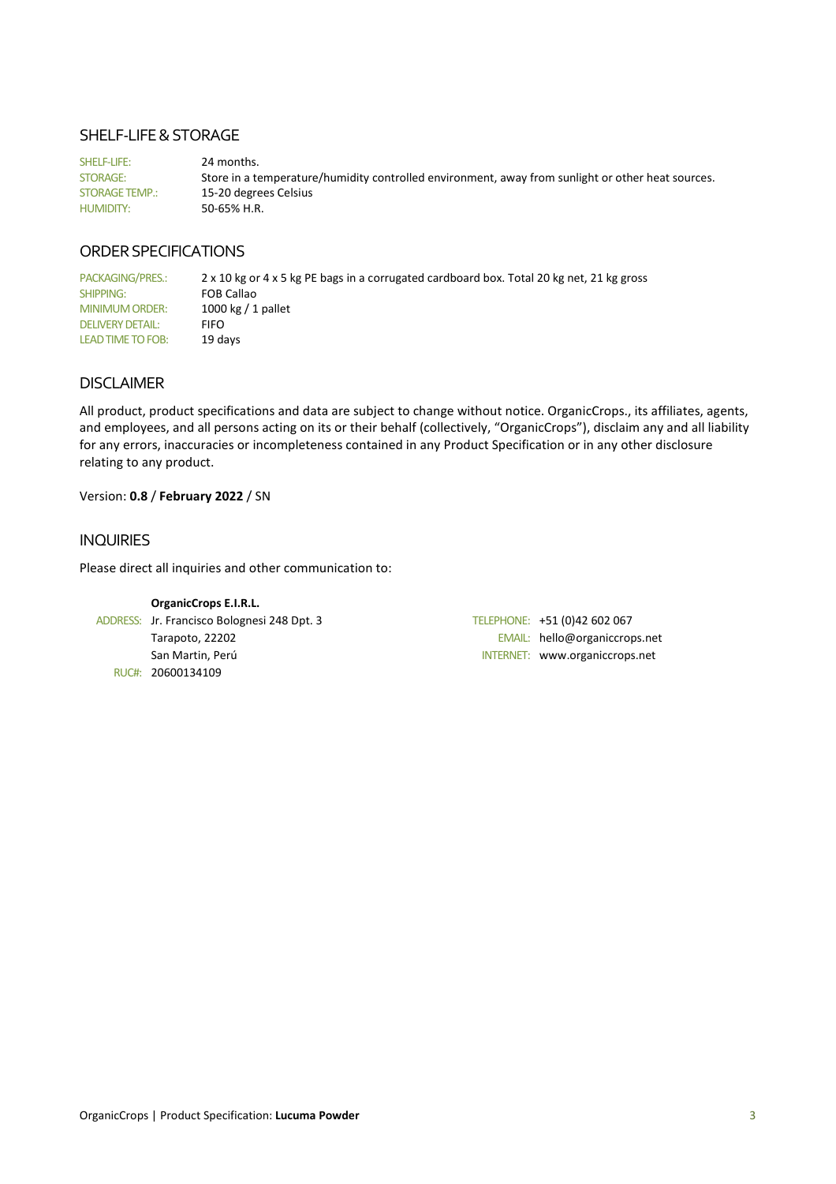### SHELF-LIFE & STORAGE

SHELF-LIFE: 24 months. STORAGE: Store in a temperature/humidity controlled environment, away from sunlight or other heat sources. STORAGE TEMP.: 15-20 degrees Celsius HUMIDITY: 50-65% H.R.

# ORDER SPECIFICATIONS

PACKAGING/PRES.: 2 x 10 kg or 4 x 5 kg PE bags in a corrugated cardboard box. Total 20 kg net, 21 kg gross SHIPPING: FOB Callao MINIMUM ORDER: 1000 kg / 1 pallet DELIVERY DETAIL: FIFO LEAD TIME TO FOB: 19 days

### DISCLAIMER

All product, product specifications and data are subject to change without notice. OrganicCrops., its affiliates, agents, and employees, and all persons acting on its or their behalf (collectively, "OrganicCrops"), disclaim any and all liability for any errors, inaccuracies or incompleteness contained in any Product Specification or in any other disclosure relating to any product.

### Version: **0.8** / **February 2022** / SN

### INQUIRIES

Please direct all inquiries and other communication to:

**OrganicCrops E.I.R.L.**  ADDRESS: Jr. Francisco Bolognesi 248 Dpt. 3 TELEPHONE: +51 (0)42 602 067 RUC#: 20600134109

Tarapoto, 22202 **EMAIL:** hello@organiccrops.net San Martin, Perú INTERNET: www.organiccrops.net